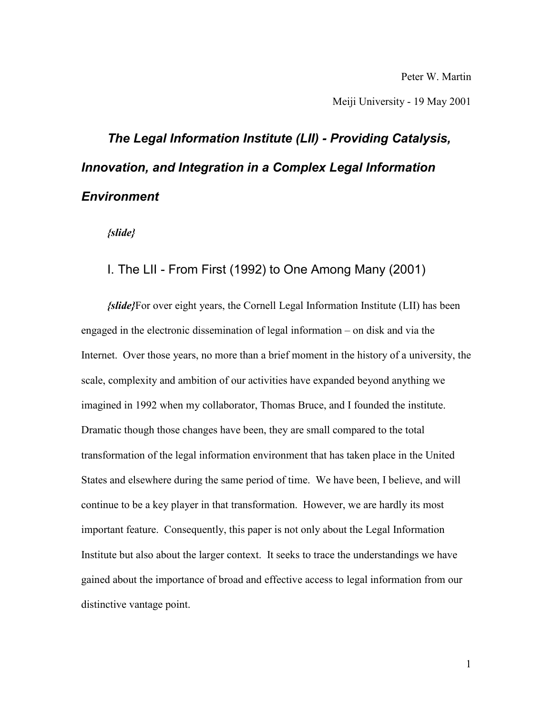Peter W. Martin

Meiji University - 19 May 2001

# *The Legal Information Institute (LII) - Providing Catalysis, Innovation, and Integration in a Complex Legal Information Environment*

*{slide}*

#### I. The LII - From First (1992) to One Among Many (2001)

*{slide}*For over eight years, the Cornell Legal Information Institute (LII) has been engaged in the electronic dissemination of legal information – on disk and via the Internet. Over those years, no more than a brief moment in the history of a university, the scale, complexity and ambition of our activities have expanded beyond anything we imagined in 1992 when my collaborator, Thomas Bruce, and I founded the institute. Dramatic though those changes have been, they are small compared to the total transformation of the legal information environment that has taken place in the United States and elsewhere during the same period of time. We have been, I believe, and will continue to be a key player in that transformation. However, we are hardly its most important feature. Consequently, this paper is not only about the Legal Information Institute but also about the larger context. It seeks to trace the understandings we have gained about the importance of broad and effective access to legal information from our distinctive vantage point.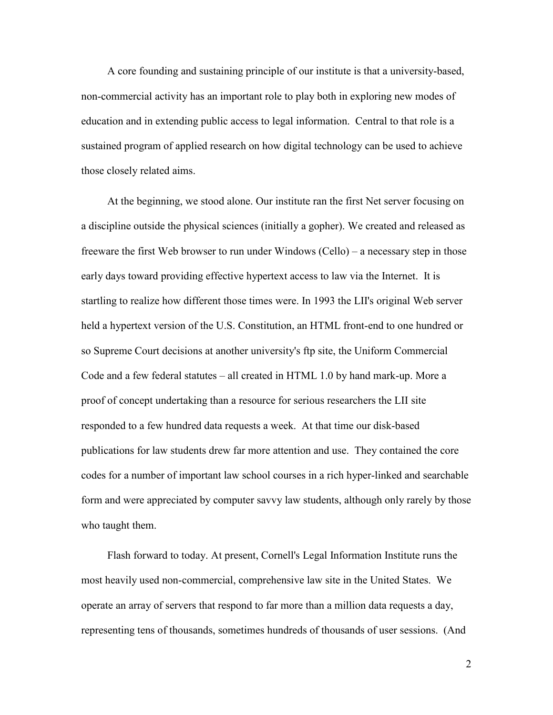A core founding and sustaining principle of our institute is that a university-based, non-commercial activity has an important role to play both in exploring new modes of education and in extending public access to legal information. Central to that role is a sustained program of applied research on how digital technology can be used to achieve those closely related aims.

At the beginning, we stood alone. Our institute ran the first Net server focusing on a discipline outside the physical sciences (initially a gopher). We created and released as freeware the first Web browser to run under Windows (Cello) – a necessary step in those early days toward providing effective hypertext access to law via the Internet. It is startling to realize how different those times were. In 1993 the LII's original Web server held a hypertext version of the U.S. Constitution, an HTML front-end to one hundred or so Supreme Court decisions at another university's ftp site, the Uniform Commercial Code and a few federal statutes – all created in HTML 1.0 by hand mark-up. More a proof of concept undertaking than a resource for serious researchers the LII site responded to a few hundred data requests a week. At that time our disk-based publications for law students drew far more attention and use. They contained the core codes for a number of important law school courses in a rich hyper-linked and searchable form and were appreciated by computer savvy law students, although only rarely by those who taught them.

Flash forward to today. At present, Cornell's Legal Information Institute runs the most heavily used non-commercial, comprehensive law site in the United States. We operate an array of servers that respond to far more than a million data requests a day, representing tens of thousands, sometimes hundreds of thousands of user sessions. (And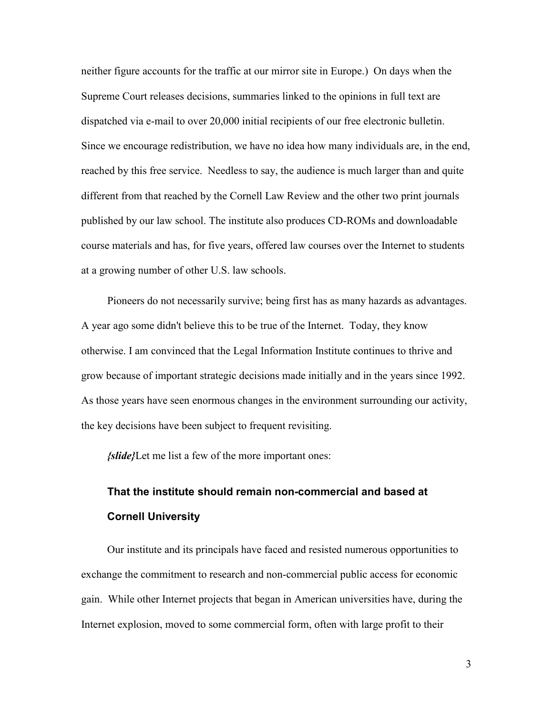neither figure accounts for the traffic at our mirror site in Europe.) On days when the Supreme Court releases decisions, summaries linked to the opinions in full text are dispatched via e-mail to over 20,000 initial recipients of our free electronic bulletin. Since we encourage redistribution, we have no idea how many individuals are, in the end, reached by this free service. Needless to say, the audience is much larger than and quite different from that reached by the Cornell Law Review and the other two print journals published by our law school. The institute also produces CD-ROMs and downloadable course materials and has, for five years, offered law courses over the Internet to students at a growing number of other U.S. law schools.

Pioneers do not necessarily survive; being first has as many hazards as advantages. A year ago some didn't believe this to be true of the Internet. Today, they know otherwise. I am convinced that the Legal Information Institute continues to thrive and grow because of important strategic decisions made initially and in the years since 1992. As those years have seen enormous changes in the environment surrounding our activity, the key decisions have been subject to frequent revisiting.

*{slide}*Let me list a few of the more important ones:

#### **That the institute should remain non-commercial and based at Cornell University**

Our institute and its principals have faced and resisted numerous opportunities to exchange the commitment to research and non-commercial public access for economic gain. While other Internet projects that began in American universities have, during the Internet explosion, moved to some commercial form, often with large profit to their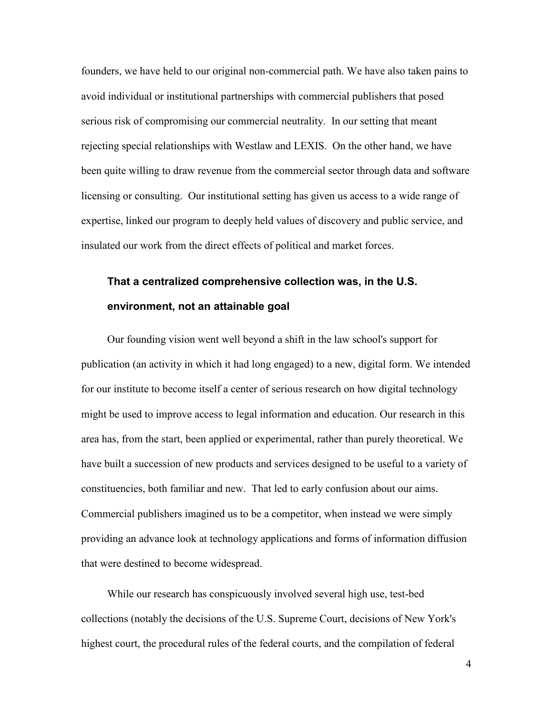founders, we have held to our original non-commercial path. We have also taken pains to avoid individual or institutional partnerships with commercial publishers that posed serious risk of compromising our commercial neutrality. In our setting that meant rejecting special relationships with Westlaw and LEXIS. On the other hand, we have been quite willing to draw revenue from the commercial sector through data and software licensing or consulting. Our institutional setting has given us access to a wide range of expertise, linked our program to deeply held values of discovery and public service, and insulated our work from the direct effects of political and market forces.

#### **That a centralized comprehensive collection was, in the U.S. environment, not an attainable goal**

Our founding vision went well beyond a shift in the law school's support for publication (an activity in which it had long engaged) to a new, digital form. We intended for our institute to become itself a center of serious research on how digital technology might be used to improve access to legal information and education. Our research in this area has, from the start, been applied or experimental, rather than purely theoretical. We have built a succession of new products and services designed to be useful to a variety of constituencies, both familiar and new. That led to early confusion about our aims. Commercial publishers imagined us to be a competitor, when instead we were simply providing an advance look at technology applications and forms of information diffusion that were destined to become widespread.

While our research has conspicuously involved several high use, test-bed collections (notably the decisions of the U.S. Supreme Court, decisions of New York's highest court, the procedural rules of the federal courts, and the compilation of federal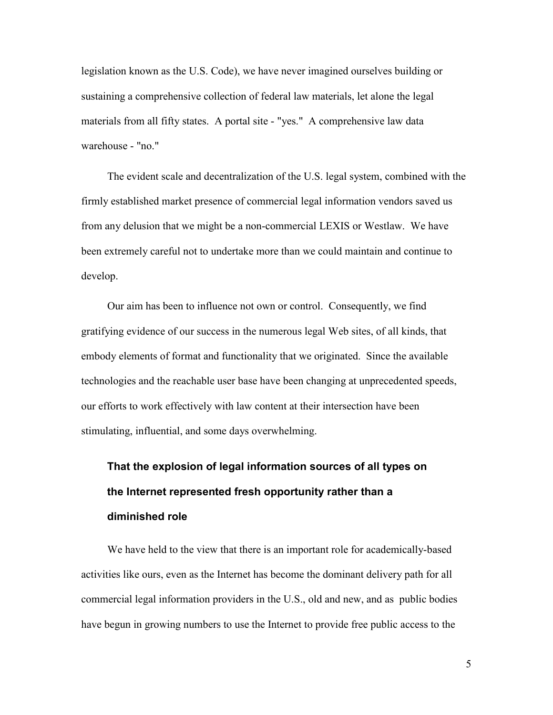legislation known as the U.S. Code), we have never imagined ourselves building or sustaining a comprehensive collection of federal law materials, let alone the legal materials from all fifty states. A portal site - "yes." A comprehensive law data warehouse - "no."

The evident scale and decentralization of the U.S. legal system, combined with the firmly established market presence of commercial legal information vendors saved us from any delusion that we might be a non-commercial LEXIS or Westlaw. We have been extremely careful not to undertake more than we could maintain and continue to develop.

Our aim has been to influence not own or control. Consequently, we find gratifying evidence of our success in the numerous legal Web sites, of all kinds, that embody elements of format and functionality that we originated. Since the available technologies and the reachable user base have been changing at unprecedented speeds, our efforts to work effectively with law content at their intersection have been stimulating, influential, and some days overwhelming.

#### **That the explosion of legal information sources of all types on the Internet represented fresh opportunity rather than a diminished role**

We have held to the view that there is an important role for academically-based activities like ours, even as the Internet has become the dominant delivery path for all commercial legal information providers in the U.S., old and new, and as public bodies have begun in growing numbers to use the Internet to provide free public access to the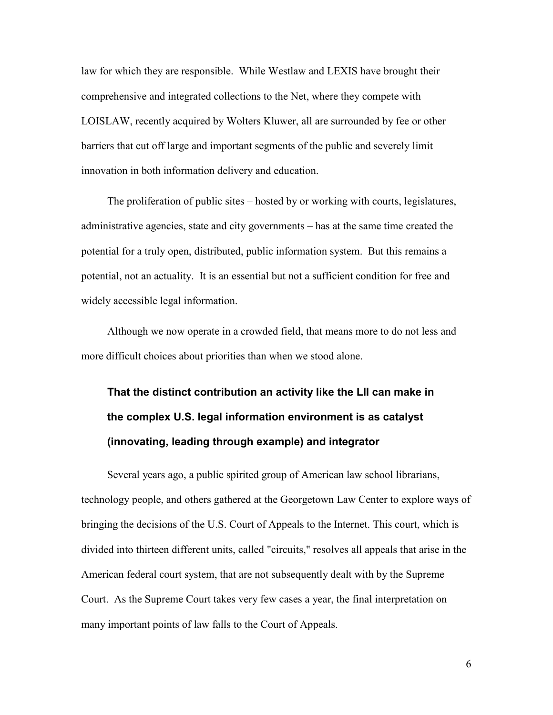law for which they are responsible. While Westlaw and LEXIS have brought their comprehensive and integrated collections to the Net, where they compete with LOISLAW, recently acquired by Wolters Kluwer, all are surrounded by fee or other barriers that cut off large and important segments of the public and severely limit innovation in both information delivery and education.

The proliferation of public sites – hosted by or working with courts, legislatures, administrative agencies, state and city governments – has at the same time created the potential for a truly open, distributed, public information system. But this remains a potential, not an actuality. It is an essential but not a sufficient condition for free and widely accessible legal information.

Although we now operate in a crowded field, that means more to do not less and more difficult choices about priorities than when we stood alone.

**That the distinct contribution an activity like the LII can make in the complex U.S. legal information environment is as catalyst (innovating, leading through example) and integrator**

Several years ago, a public spirited group of American law school librarians, technology people, and others gathered at the Georgetown Law Center to explore ways of bringing the decisions of the U.S. Court of Appeals to the Internet. This court, which is divided into thirteen different units, called "circuits," resolves all appeals that arise in the American federal court system, that are not subsequently dealt with by the Supreme Court. As the Supreme Court takes very few cases a year, the final interpretation on many important points of law falls to the Court of Appeals.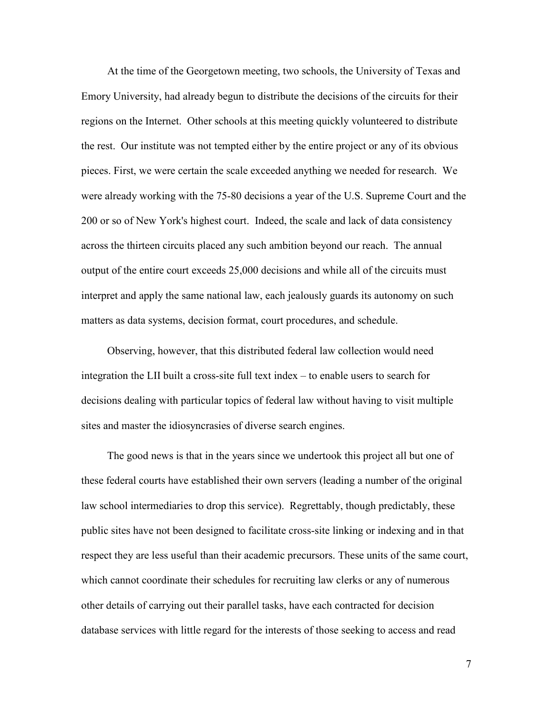At the time of the Georgetown meeting, two schools, the University of Texas and Emory University, had already begun to distribute the decisions of the circuits for their regions on the Internet. Other schools at this meeting quickly volunteered to distribute the rest. Our institute was not tempted either by the entire project or any of its obvious pieces. First, we were certain the scale exceeded anything we needed for research. We were already working with the 75-80 decisions a year of the U.S. Supreme Court and the 200 or so of New York's highest court. Indeed, the scale and lack of data consistency across the thirteen circuits placed any such ambition beyond our reach. The annual output of the entire court exceeds 25,000 decisions and while all of the circuits must interpret and apply the same national law, each jealously guards its autonomy on such matters as data systems, decision format, court procedures, and schedule.

Observing, however, that this distributed federal law collection would need integration the LII built a cross-site full text index – to enable users to search for decisions dealing with particular topics of federal law without having to visit multiple sites and master the idiosyncrasies of diverse search engines.

The good news is that in the years since we undertook this project all but one of these federal courts have established their own servers (leading a number of the original law school intermediaries to drop this service). Regrettably, though predictably, these public sites have not been designed to facilitate cross-site linking or indexing and in that respect they are less useful than their academic precursors. These units of the same court, which cannot coordinate their schedules for recruiting law clerks or any of numerous other details of carrying out their parallel tasks, have each contracted for decision database services with little regard for the interests of those seeking to access and read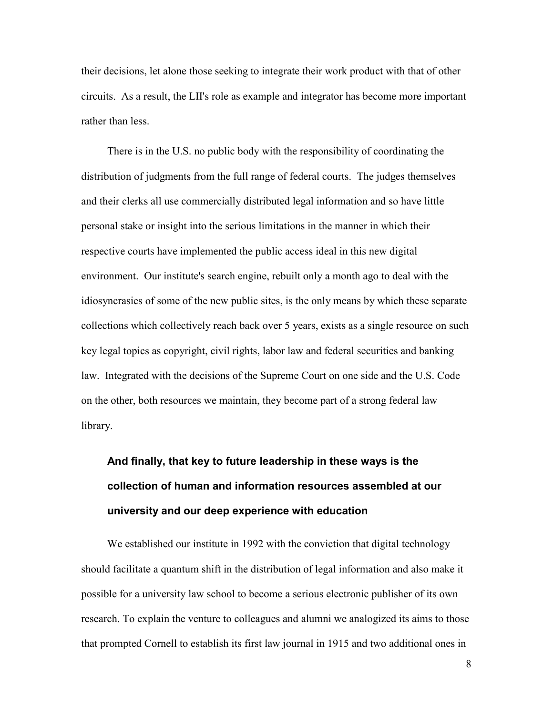their decisions, let alone those seeking to integrate their work product with that of other circuits. As a result, the LII's role as example and integrator has become more important rather than less.

There is in the U.S. no public body with the responsibility of coordinating the distribution of judgments from the full range of federal courts. The judges themselves and their clerks all use commercially distributed legal information and so have little personal stake or insight into the serious limitations in the manner in which their respective courts have implemented the public access ideal in this new digital environment. Our institute's search engine, rebuilt only a month ago to deal with the idiosyncrasies of some of the new public sites, is the only means by which these separate collections which collectively reach back over 5 years, exists as a single resource on such key legal topics as copyright, civil rights, labor law and federal securities and banking law. Integrated with the decisions of the Supreme Court on one side and the U.S. Code on the other, both resources we maintain, they become part of a strong federal law library.

### **And finally, that key to future leadership in these ways is the collection of human and information resources assembled at our university and our deep experience with education**

We established our institute in 1992 with the conviction that digital technology should facilitate a quantum shift in the distribution of legal information and also make it possible for a university law school to become a serious electronic publisher of its own research. To explain the venture to colleagues and alumni we analogized its aims to those that prompted Cornell to establish its first law journal in 1915 and two additional ones in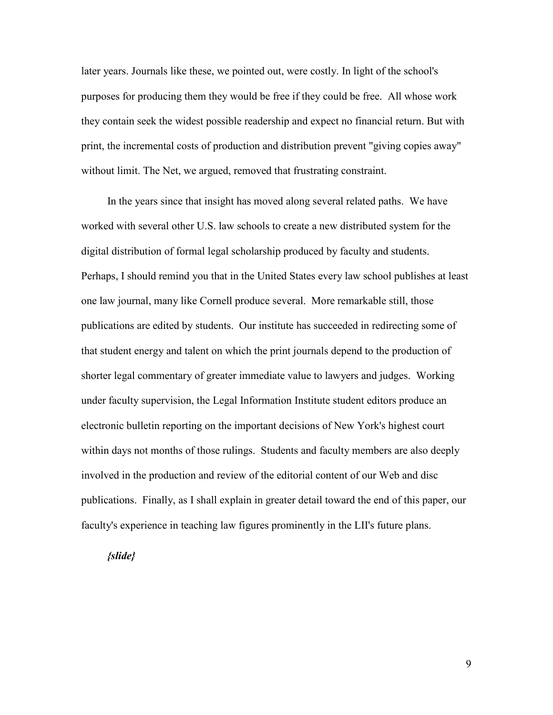later years. Journals like these, we pointed out, were costly. In light of the school's purposes for producing them they would be free if they could be free. All whose work they contain seek the widest possible readership and expect no financial return. But with print, the incremental costs of production and distribution prevent "giving copies away" without limit. The Net, we argued, removed that frustrating constraint.

In the years since that insight has moved along several related paths. We have worked with several other U.S. law schools to create a new distributed system for the digital distribution of formal legal scholarship produced by faculty and students. Perhaps, I should remind you that in the United States every law school publishes at least one law journal, many like Cornell produce several. More remarkable still, those publications are edited by students. Our institute has succeeded in redirecting some of that student energy and talent on which the print journals depend to the production of shorter legal commentary of greater immediate value to lawyers and judges. Working under faculty supervision, the Legal Information Institute student editors produce an electronic bulletin reporting on the important decisions of New York's highest court within days not months of those rulings. Students and faculty members are also deeply involved in the production and review of the editorial content of our Web and disc publications. Finally, as I shall explain in greater detail toward the end of this paper, our faculty's experience in teaching law figures prominently in the LII's future plans.

*{slide}*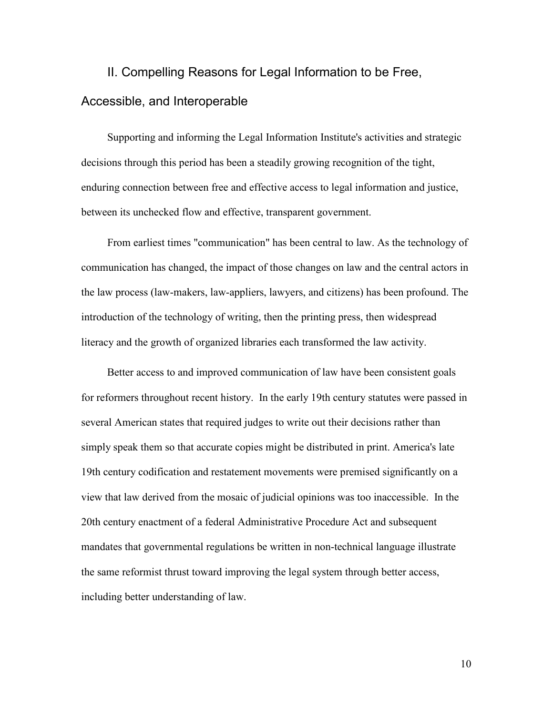### II. Compelling Reasons for Legal Information to be Free, Accessible, and Interoperable

Supporting and informing the Legal Information Institute's activities and strategic decisions through this period has been a steadily growing recognition of the tight, enduring connection between free and effective access to legal information and justice, between its unchecked flow and effective, transparent government.

From earliest times "communication" has been central to law. As the technology of communication has changed, the impact of those changes on law and the central actors in the law process (law-makers, law-appliers, lawyers, and citizens) has been profound. The introduction of the technology of writing, then the printing press, then widespread literacy and the growth of organized libraries each transformed the law activity.

Better access to and improved communication of law have been consistent goals for reformers throughout recent history. In the early 19th century statutes were passed in several American states that required judges to write out their decisions rather than simply speak them so that accurate copies might be distributed in print. America's late 19th century codification and restatement movements were premised significantly on a view that law derived from the mosaic of judicial opinions was too inaccessible. In the 20th century enactment of a federal Administrative Procedure Act and subsequent mandates that governmental regulations be written in non-technical language illustrate the same reformist thrust toward improving the legal system through better access, including better understanding of law.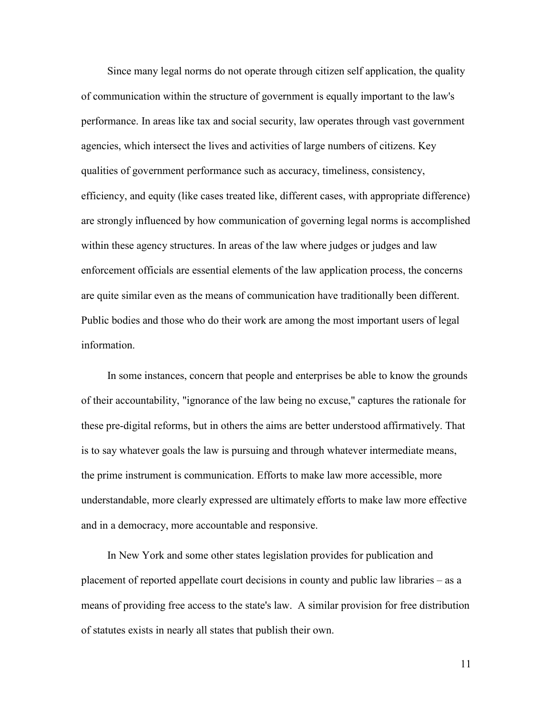Since many legal norms do not operate through citizen self application, the quality of communication within the structure of government is equally important to the law's performance. In areas like tax and social security, law operates through vast government agencies, which intersect the lives and activities of large numbers of citizens. Key qualities of government performance such as accuracy, timeliness, consistency, efficiency, and equity (like cases treated like, different cases, with appropriate difference) are strongly influenced by how communication of governing legal norms is accomplished within these agency structures. In areas of the law where judges or judges and law enforcement officials are essential elements of the law application process, the concerns are quite similar even as the means of communication have traditionally been different. Public bodies and those who do their work are among the most important users of legal information.

In some instances, concern that people and enterprises be able to know the grounds of their accountability, "ignorance of the law being no excuse," captures the rationale for these pre-digital reforms, but in others the aims are better understood affirmatively. That is to say whatever goals the law is pursuing and through whatever intermediate means, the prime instrument is communication. Efforts to make law more accessible, more understandable, more clearly expressed are ultimately efforts to make law more effective and in a democracy, more accountable and responsive.

In New York and some other states legislation provides for publication and placement of reported appellate court decisions in county and public law libraries – as a means of providing free access to the state's law. A similar provision for free distribution of statutes exists in nearly all states that publish their own.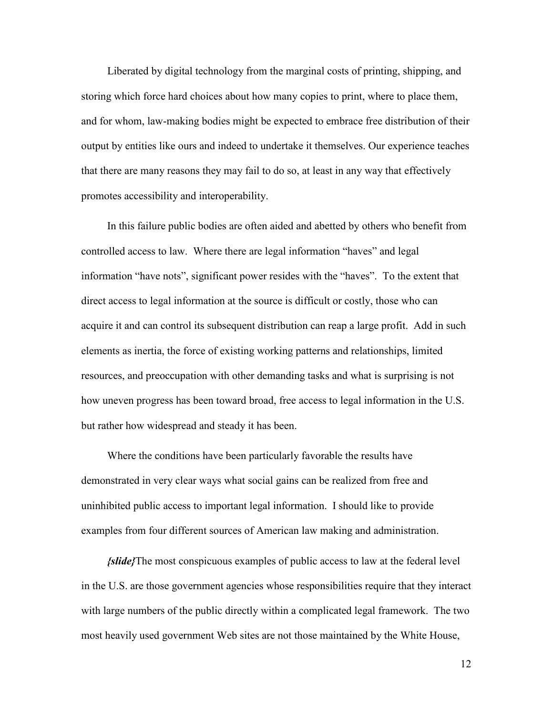Liberated by digital technology from the marginal costs of printing, shipping, and storing which force hard choices about how many copies to print, where to place them, and for whom, law-making bodies might be expected to embrace free distribution of their output by entities like ours and indeed to undertake it themselves. Our experience teaches that there are many reasons they may fail to do so, at least in any way that effectively promotes accessibility and interoperability.

In this failure public bodies are often aided and abetted by others who benefit from controlled access to law. Where there are legal information "haves" and legal information "have nots", significant power resides with the "haves". To the extent that direct access to legal information at the source is difficult or costly, those who can acquire it and can control its subsequent distribution can reap a large profit. Add in such elements as inertia, the force of existing working patterns and relationships, limited resources, and preoccupation with other demanding tasks and what is surprising is not how uneven progress has been toward broad, free access to legal information in the U.S. but rather how widespread and steady it has been.

Where the conditions have been particularly favorable the results have demonstrated in very clear ways what social gains can be realized from free and uninhibited public access to important legal information. I should like to provide examples from four different sources of American law making and administration.

*{slide}*The most conspicuous examples of public access to law at the federal level in the U.S. are those government agencies whose responsibilities require that they interact with large numbers of the public directly within a complicated legal framework. The two most heavily used government Web sites are not those maintained by the White House,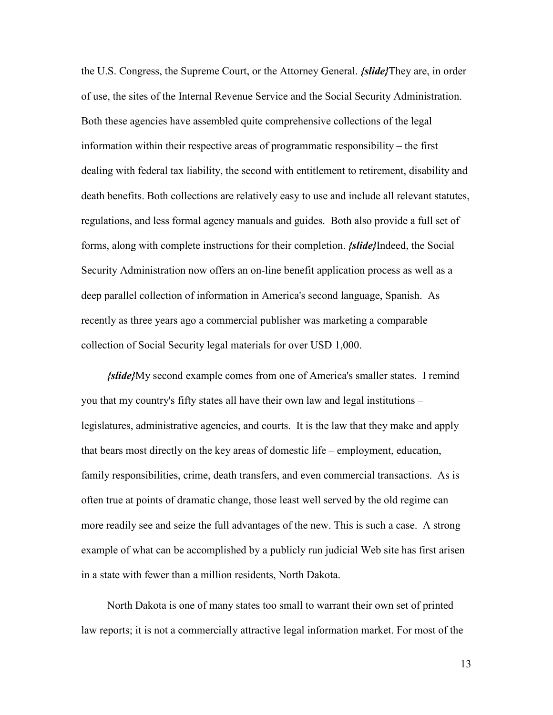the U.S. Congress, the Supreme Court, or the Attorney General. *{slide}*They are, in order of use, the sites of the Internal Revenue Service and the Social Security Administration. Both these agencies have assembled quite comprehensive collections of the legal information within their respective areas of programmatic responsibility – the first dealing with federal tax liability, the second with entitlement to retirement, disability and death benefits. Both collections are relatively easy to use and include all relevant statutes, regulations, and less formal agency manuals and guides. Both also provide a full set of forms, along with complete instructions for their completion. *{slide}*Indeed, the Social Security Administration now offers an on-line benefit application process as well as a deep parallel collection of information in America's second language, Spanish. As recently as three years ago a commercial publisher was marketing a comparable collection of Social Security legal materials for over USD 1,000.

*{slide}*My second example comes from one of America's smaller states. I remind you that my country's fifty states all have their own law and legal institutions – legislatures, administrative agencies, and courts. It is the law that they make and apply that bears most directly on the key areas of domestic life – employment, education, family responsibilities, crime, death transfers, and even commercial transactions. As is often true at points of dramatic change, those least well served by the old regime can more readily see and seize the full advantages of the new. This is such a case. A strong example of what can be accomplished by a publicly run judicial Web site has first arisen in a state with fewer than a million residents, North Dakota.

North Dakota is one of many states too small to warrant their own set of printed law reports; it is not a commercially attractive legal information market. For most of the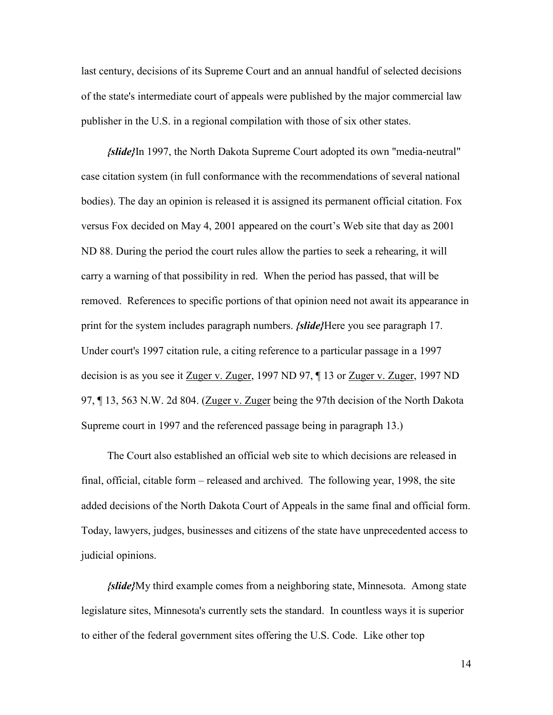last century, decisions of its Supreme Court and an annual handful of selected decisions of the state's intermediate court of appeals were published by the major commercial law publisher in the U.S. in a regional compilation with those of six other states.

*{slide}*In 1997, the North Dakota Supreme Court adopted its own "media-neutral" case citation system (in full conformance with the recommendations of several national bodies). The day an opinion is released it is assigned its permanent official citation. Fox versus Fox decided on May 4, 2001 appeared on the court's Web site that day as 2001 ND 88. During the period the court rules allow the parties to seek a rehearing, it will carry a warning of that possibility in red. When the period has passed, that will be removed. References to specific portions of that opinion need not await its appearance in print for the system includes paragraph numbers. *{slide}*Here you see paragraph 17. Under court's 1997 citation rule, a citing reference to a particular passage in a 1997 decision is as you see it Zuger v. Zuger, 1997 ND 97, ¶ 13 or Zuger v. Zuger, 1997 ND 97, ¶ 13, 563 N.W. 2d 804. (Zuger v. Zuger being the 97th decision of the North Dakota Supreme court in 1997 and the referenced passage being in paragraph 13.)

The Court also established an official web site to which decisions are released in final, official, citable form – released and archived. The following year, 1998, the site added decisions of the North Dakota Court of Appeals in the same final and official form. Today, lawyers, judges, businesses and citizens of the state have unprecedented access to judicial opinions.

*{slide}*My third example comes from a neighboring state, Minnesota. Among state legislature sites, Minnesota's currently sets the standard. In countless ways it is superior to either of the federal government sites offering the U.S. Code. Like other top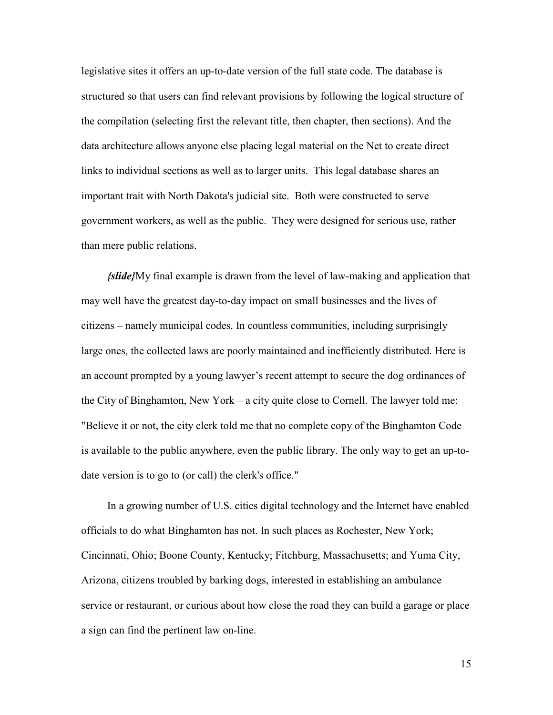legislative sites it offers an up-to-date version of the full state code. The database is structured so that users can find relevant provisions by following the logical structure of the compilation (selecting first the relevant title, then chapter, then sections). And the data architecture allows anyone else placing legal material on the Net to create direct links to individual sections as well as to larger units. This legal database shares an important trait with North Dakota's judicial site. Both were constructed to serve government workers, as well as the public. They were designed for serious use, rather than mere public relations.

*{slide}*My final example is drawn from the level of law-making and application that may well have the greatest day-to-day impact on small businesses and the lives of citizens – namely municipal codes. In countless communities, including surprisingly large ones, the collected laws are poorly maintained and inefficiently distributed. Here is an account prompted by a young lawyer's recent attempt to secure the dog ordinances of the City of Binghamton, New York – a city quite close to Cornell. The lawyer told me: "Believe it or not, the city clerk told me that no complete copy of the Binghamton Code is available to the public anywhere, even the public library. The only way to get an up-todate version is to go to (or call) the clerk's office."

In a growing number of U.S. cities digital technology and the Internet have enabled officials to do what Binghamton has not. In such places as Rochester, New York; Cincinnati, Ohio; Boone County, Kentucky; Fitchburg, Massachusetts; and Yuma City, Arizona, citizens troubled by barking dogs, interested in establishing an ambulance service or restaurant, or curious about how close the road they can build a garage or place a sign can find the pertinent law on-line.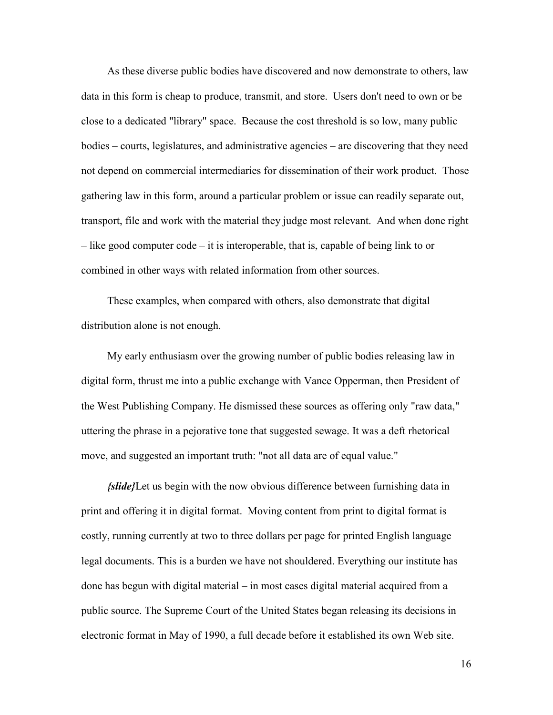As these diverse public bodies have discovered and now demonstrate to others, law data in this form is cheap to produce, transmit, and store. Users don't need to own or be close to a dedicated "library" space. Because the cost threshold is so low, many public bodies – courts, legislatures, and administrative agencies – are discovering that they need not depend on commercial intermediaries for dissemination of their work product. Those gathering law in this form, around a particular problem or issue can readily separate out, transport, file and work with the material they judge most relevant. And when done right – like good computer code – it is interoperable, that is, capable of being link to or combined in other ways with related information from other sources.

These examples, when compared with others, also demonstrate that digital distribution alone is not enough.

My early enthusiasm over the growing number of public bodies releasing law in digital form, thrust me into a public exchange with Vance Opperman, then President of the West Publishing Company. He dismissed these sources as offering only "raw data," uttering the phrase in a pejorative tone that suggested sewage. It was a deft rhetorical move, and suggested an important truth: "not all data are of equal value."

*{slide}*Let us begin with the now obvious difference between furnishing data in print and offering it in digital format. Moving content from print to digital format is costly, running currently at two to three dollars per page for printed English language legal documents. This is a burden we have not shouldered. Everything our institute has done has begun with digital material – in most cases digital material acquired from a public source. The Supreme Court of the United States began releasing its decisions in electronic format in May of 1990, a full decade before it established its own Web site.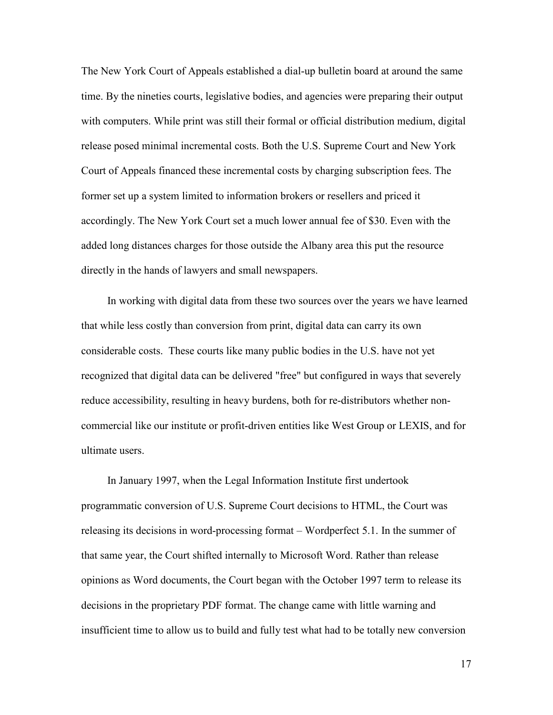The New York Court of Appeals established a dial-up bulletin board at around the same time. By the nineties courts, legislative bodies, and agencies were preparing their output with computers. While print was still their formal or official distribution medium, digital release posed minimal incremental costs. Both the U.S. Supreme Court and New York Court of Appeals financed these incremental costs by charging subscription fees. The former set up a system limited to information brokers or resellers and priced it accordingly. The New York Court set a much lower annual fee of \$30. Even with the added long distances charges for those outside the Albany area this put the resource directly in the hands of lawyers and small newspapers.

In working with digital data from these two sources over the years we have learned that while less costly than conversion from print, digital data can carry its own considerable costs. These courts like many public bodies in the U.S. have not yet recognized that digital data can be delivered "free" but configured in ways that severely reduce accessibility, resulting in heavy burdens, both for re-distributors whether noncommercial like our institute or profit-driven entities like West Group or LEXIS, and for ultimate users.

In January 1997, when the Legal Information Institute first undertook programmatic conversion of U.S. Supreme Court decisions to HTML, the Court was releasing its decisions in word-processing format – Wordperfect 5.1. In the summer of that same year, the Court shifted internally to Microsoft Word. Rather than release opinions as Word documents, the Court began with the October 1997 term to release its decisions in the proprietary PDF format. The change came with little warning and insufficient time to allow us to build and fully test what had to be totally new conversion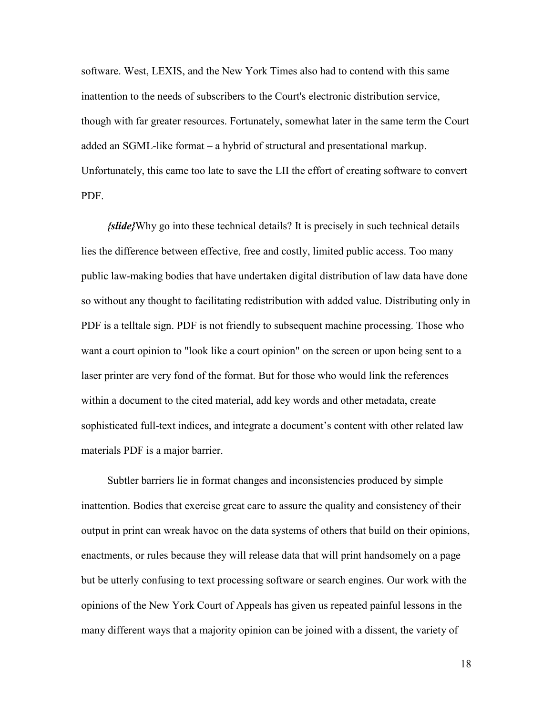software. West, LEXIS, and the New York Times also had to contend with this same inattention to the needs of subscribers to the Court's electronic distribution service, though with far greater resources. Fortunately, somewhat later in the same term the Court added an SGML-like format – a hybrid of structural and presentational markup. Unfortunately, this came too late to save the LII the effort of creating software to convert PDF.

*{slide}*Why go into these technical details? It is precisely in such technical details lies the difference between effective, free and costly, limited public access. Too many public law-making bodies that have undertaken digital distribution of law data have done so without any thought to facilitating redistribution with added value. Distributing only in PDF is a telltale sign. PDF is not friendly to subsequent machine processing. Those who want a court opinion to "look like a court opinion" on the screen or upon being sent to a laser printer are very fond of the format. But for those who would link the references within a document to the cited material, add key words and other metadata, create sophisticated full-text indices, and integrate a document's content with other related law materials PDF is a major barrier.

Subtler barriers lie in format changes and inconsistencies produced by simple inattention. Bodies that exercise great care to assure the quality and consistency of their output in print can wreak havoc on the data systems of others that build on their opinions, enactments, or rules because they will release data that will print handsomely on a page but be utterly confusing to text processing software or search engines. Our work with the opinions of the New York Court of Appeals has given us repeated painful lessons in the many different ways that a majority opinion can be joined with a dissent, the variety of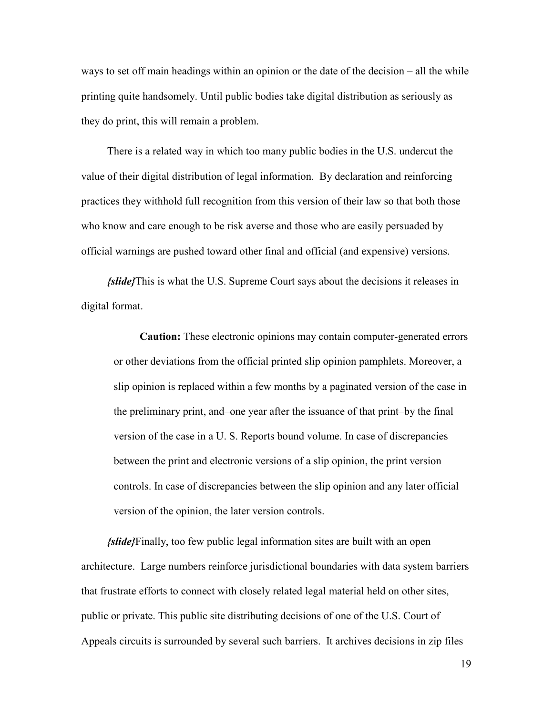ways to set off main headings within an opinion or the date of the decision – all the while printing quite handsomely. Until public bodies take digital distribution as seriously as they do print, this will remain a problem.

There is a related way in which too many public bodies in the U.S. undercut the value of their digital distribution of legal information. By declaration and reinforcing practices they withhold full recognition from this version of their law so that both those who know and care enough to be risk averse and those who are easily persuaded by official warnings are pushed toward other final and official (and expensive) versions.

*{slide}*This is what the U.S. Supreme Court says about the decisions it releases in digital format.

**Caution:** These electronic opinions may contain computer-generated errors or other deviations from the official printed slip opinion pamphlets. Moreover, a slip opinion is replaced within a few months by a paginated version of the case in the preliminary print, and–one year after the issuance of that print–by the final version of the case in a U. S. Reports bound volume. In case of discrepancies between the print and electronic versions of a slip opinion, the print version controls. In case of discrepancies between the slip opinion and any later official version of the opinion, the later version controls.

*{slide}*Finally, too few public legal information sites are built with an open architecture. Large numbers reinforce jurisdictional boundaries with data system barriers that frustrate efforts to connect with closely related legal material held on other sites, public or private. This public site distributing decisions of one of the U.S. Court of Appeals circuits is surrounded by several such barriers. It archives decisions in zip files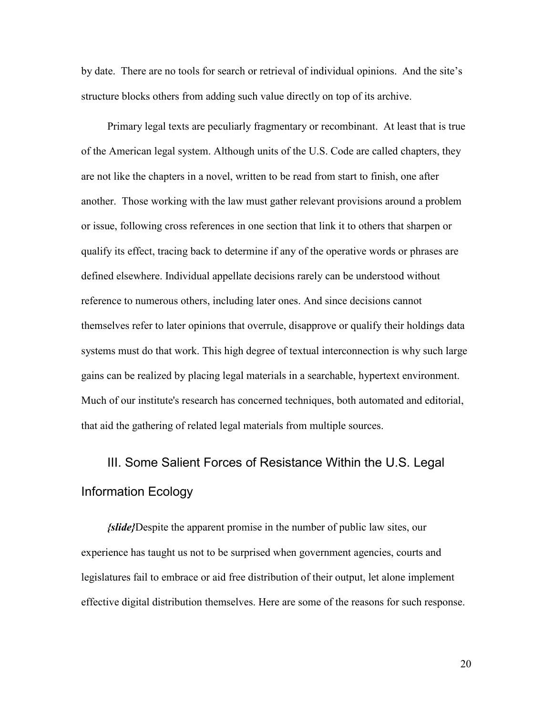by date. There are no tools for search or retrieval of individual opinions. And the site's structure blocks others from adding such value directly on top of its archive.

Primary legal texts are peculiarly fragmentary or recombinant. At least that is true of the American legal system. Although units of the U.S. Code are called chapters, they are not like the chapters in a novel, written to be read from start to finish, one after another. Those working with the law must gather relevant provisions around a problem or issue, following cross references in one section that link it to others that sharpen or qualify its effect, tracing back to determine if any of the operative words or phrases are defined elsewhere. Individual appellate decisions rarely can be understood without reference to numerous others, including later ones. And since decisions cannot themselves refer to later opinions that overrule, disapprove or qualify their holdings data systems must do that work. This high degree of textual interconnection is why such large gains can be realized by placing legal materials in a searchable, hypertext environment. Much of our institute's research has concerned techniques, both automated and editorial, that aid the gathering of related legal materials from multiple sources.

## III. Some Salient Forces of Resistance Within the U.S. Legal Information Ecology

*{slide}*Despite the apparent promise in the number of public law sites, our experience has taught us not to be surprised when government agencies, courts and legislatures fail to embrace or aid free distribution of their output, let alone implement effective digital distribution themselves. Here are some of the reasons for such response.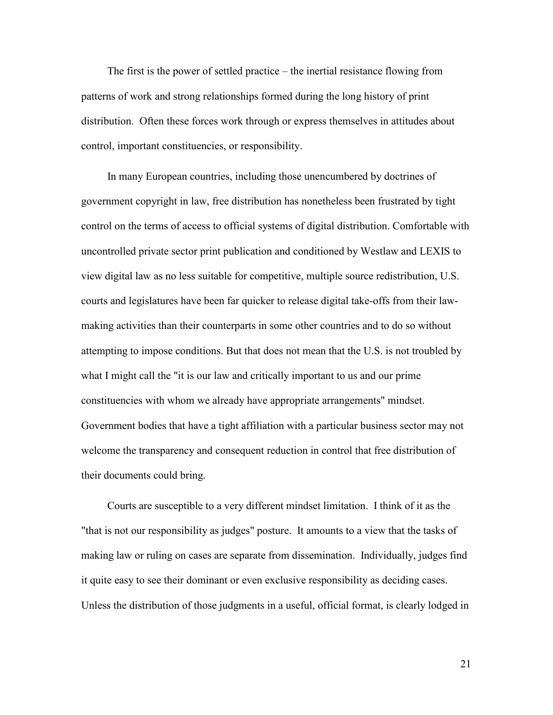The first is the power of settled practice – the inertial resistance flowing from patterns of work and strong relationships formed during the long history of print distribution. Often these forces work through or express themselves in attitudes about control, important constituencies, or responsibility.

In many European countries, including those unencumbered by doctrines of government copyright in law, free distribution has nonetheless been frustrated by tight control on the terms of access to official systems of digital distribution. Comfortable with uncontrolled private sector print publication and conditioned by Westlaw and LEXIS to view digital law as no less suitable for competitive, multiple source redistribution, U.S. courts and legislatures have been far quicker to release digital take-offs from their lawmaking activities than their counterparts in some other countries and to do so without attempting to impose conditions. But that does not mean that the U.S. is not troubled by what I might call the "it is our law and critically important to us and our prime constituencies with whom we already have appropriate arrangements" mindset. Government bodies that have a tight affiliation with a particular business sector may not welcome the transparency and consequent reduction in control that free distribution of their documents could bring.

Courts are susceptible to a very different mindset limitation. I think of it as the "that is not our responsibility as judges" posture. It amounts to a view that the tasks of making law or ruling on cases are separate from dissemination. Individually, judges find it quite easy to see their dominant or even exclusive responsibility as deciding cases. Unless the distribution of those judgments in a useful, official format, is clearly lodged in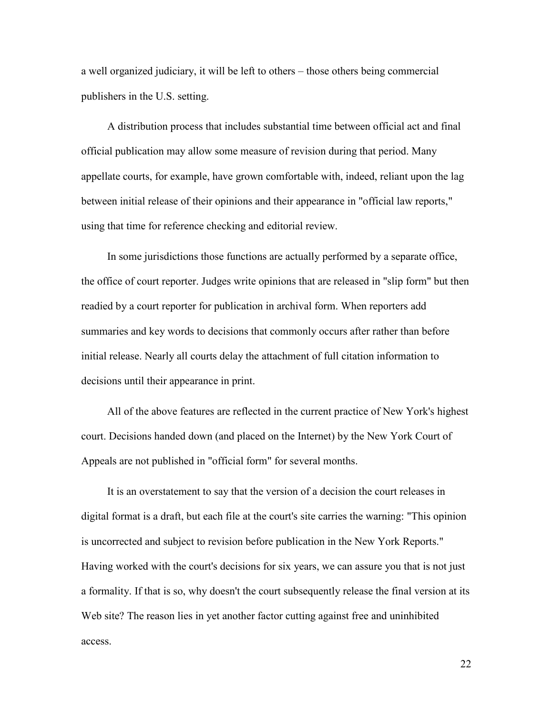a well organized judiciary, it will be left to others – those others being commercial publishers in the U.S. setting.

A distribution process that includes substantial time between official act and final official publication may allow some measure of revision during that period. Many appellate courts, for example, have grown comfortable with, indeed, reliant upon the lag between initial release of their opinions and their appearance in "official law reports," using that time for reference checking and editorial review.

In some jurisdictions those functions are actually performed by a separate office, the office of court reporter. Judges write opinions that are released in "slip form" but then readied by a court reporter for publication in archival form. When reporters add summaries and key words to decisions that commonly occurs after rather than before initial release. Nearly all courts delay the attachment of full citation information to decisions until their appearance in print.

All of the above features are reflected in the current practice of New York's highest court. Decisions handed down (and placed on the Internet) by the New York Court of Appeals are not published in "official form" for several months.

It is an overstatement to say that the version of a decision the court releases in digital format is a draft, but each file at the court's site carries the warning: "This opinion is uncorrected and subject to revision before publication in the New York Reports." Having worked with the court's decisions for six years, we can assure you that is not just a formality. If that is so, why doesn't the court subsequently release the final version at its Web site? The reason lies in yet another factor cutting against free and uninhibited access.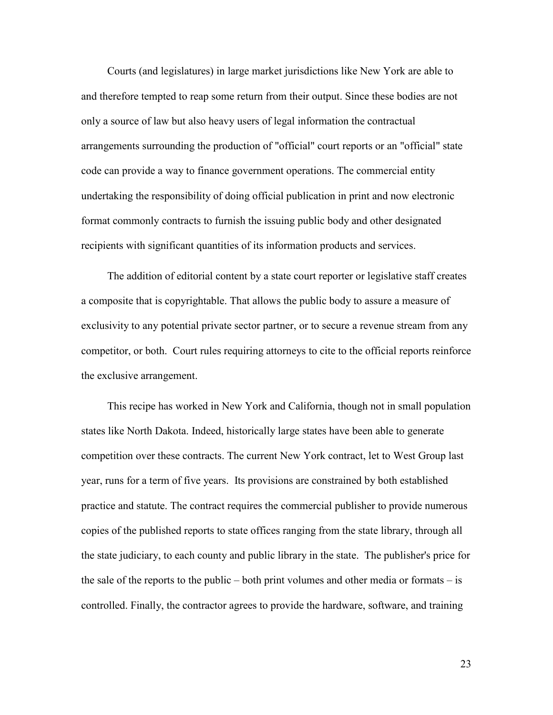Courts (and legislatures) in large market jurisdictions like New York are able to and therefore tempted to reap some return from their output. Since these bodies are not only a source of law but also heavy users of legal information the contractual arrangements surrounding the production of "official" court reports or an "official" state code can provide a way to finance government operations. The commercial entity undertaking the responsibility of doing official publication in print and now electronic format commonly contracts to furnish the issuing public body and other designated recipients with significant quantities of its information products and services.

The addition of editorial content by a state court reporter or legislative staff creates a composite that is copyrightable. That allows the public body to assure a measure of exclusivity to any potential private sector partner, or to secure a revenue stream from any competitor, or both. Court rules requiring attorneys to cite to the official reports reinforce the exclusive arrangement.

This recipe has worked in New York and California, though not in small population states like North Dakota. Indeed, historically large states have been able to generate competition over these contracts. The current New York contract, let to West Group last year, runs for a term of five years. Its provisions are constrained by both established practice and statute. The contract requires the commercial publisher to provide numerous copies of the published reports to state offices ranging from the state library, through all the state judiciary, to each county and public library in the state. The publisher's price for the sale of the reports to the public – both print volumes and other media or formats – is controlled. Finally, the contractor agrees to provide the hardware, software, and training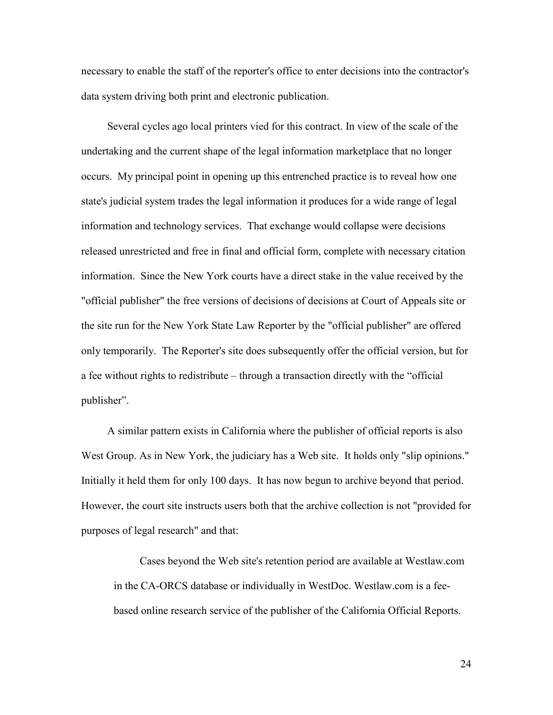necessary to enable the staff of the reporter's office to enter decisions into the contractor's data system driving both print and electronic publication.

Several cycles ago local printers vied for this contract. In view of the scale of the undertaking and the current shape of the legal information marketplace that no longer occurs. My principal point in opening up this entrenched practice is to reveal how one state's judicial system trades the legal information it produces for a wide range of legal information and technology services. That exchange would collapse were decisions released unrestricted and free in final and official form, complete with necessary citation information. Since the New York courts have a direct stake in the value received by the "official publisher" the free versions of decisions of decisions at Court of Appeals site or the site run for the New York State Law Reporter by the "official publisher" are offered only temporarily. The Reporter's site does subsequently offer the official version, but for a fee without rights to redistribute – through a transaction directly with the "official publisher".

A similar pattern exists in California where the publisher of official reports is also West Group. As in New York, the judiciary has a Web site. It holds only "slip opinions." Initially it held them for only 100 days. It has now begun to archive beyond that period. However, the court site instructs users both that the archive collection is not "provided for purposes of legal research" and that:

Cases beyond the Web site's retention period are available at Westlaw.com in the CA-ORCS database or individually in WestDoc. Westlaw.com is a feebased online research service of the publisher of the California Official Reports.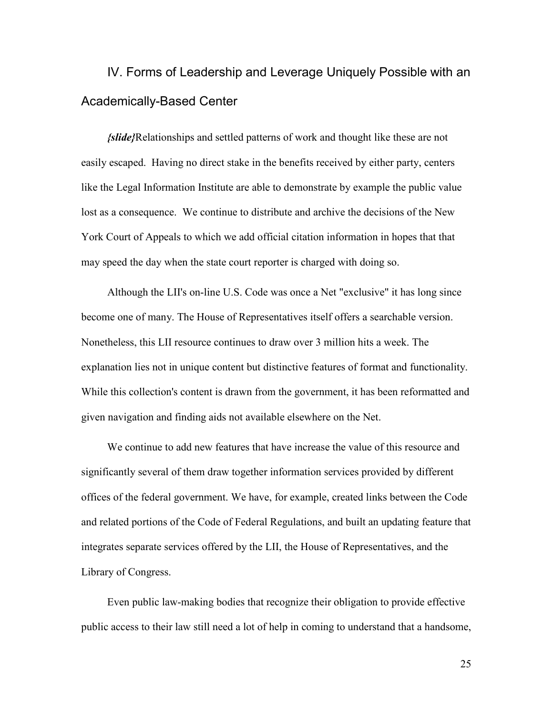IV. Forms of Leadership and Leverage Uniquely Possible with an Academically-Based Center

*{slide}*Relationships and settled patterns of work and thought like these are not easily escaped. Having no direct stake in the benefits received by either party, centers like the Legal Information Institute are able to demonstrate by example the public value lost as a consequence. We continue to distribute and archive the decisions of the New York Court of Appeals to which we add official citation information in hopes that that may speed the day when the state court reporter is charged with doing so.

Although the LII's on-line U.S. Code was once a Net "exclusive" it has long since become one of many. The House of Representatives itself offers a searchable version. Nonetheless, this LII resource continues to draw over 3 million hits a week. The explanation lies not in unique content but distinctive features of format and functionality. While this collection's content is drawn from the government, it has been reformatted and given navigation and finding aids not available elsewhere on the Net.

We continue to add new features that have increase the value of this resource and significantly several of them draw together information services provided by different offices of the federal government. We have, for example, created links between the Code and related portions of the Code of Federal Regulations, and built an updating feature that integrates separate services offered by the LII, the House of Representatives, and the Library of Congress.

Even public law-making bodies that recognize their obligation to provide effective public access to their law still need a lot of help in coming to understand that a handsome,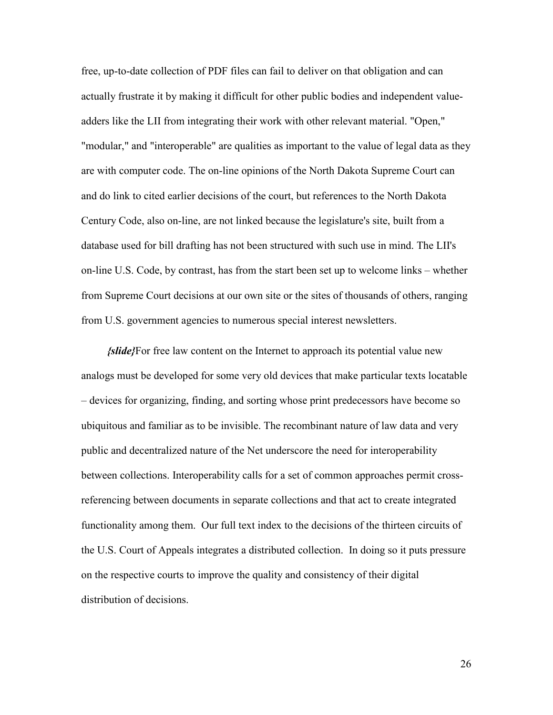free, up-to-date collection of PDF files can fail to deliver on that obligation and can actually frustrate it by making it difficult for other public bodies and independent valueadders like the LII from integrating their work with other relevant material. "Open," "modular," and "interoperable" are qualities as important to the value of legal data as they are with computer code. The on-line opinions of the North Dakota Supreme Court can and do link to cited earlier decisions of the court, but references to the North Dakota Century Code, also on-line, are not linked because the legislature's site, built from a database used for bill drafting has not been structured with such use in mind. The LII's on-line U.S. Code, by contrast, has from the start been set up to welcome links – whether from Supreme Court decisions at our own site or the sites of thousands of others, ranging from U.S. government agencies to numerous special interest newsletters.

*{slide}*For free law content on the Internet to approach its potential value new analogs must be developed for some very old devices that make particular texts locatable – devices for organizing, finding, and sorting whose print predecessors have become so ubiquitous and familiar as to be invisible. The recombinant nature of law data and very public and decentralized nature of the Net underscore the need for interoperability between collections. Interoperability calls for a set of common approaches permit crossreferencing between documents in separate collections and that act to create integrated functionality among them. Our full text index to the decisions of the thirteen circuits of the U.S. Court of Appeals integrates a distributed collection. In doing so it puts pressure on the respective courts to improve the quality and consistency of their digital distribution of decisions.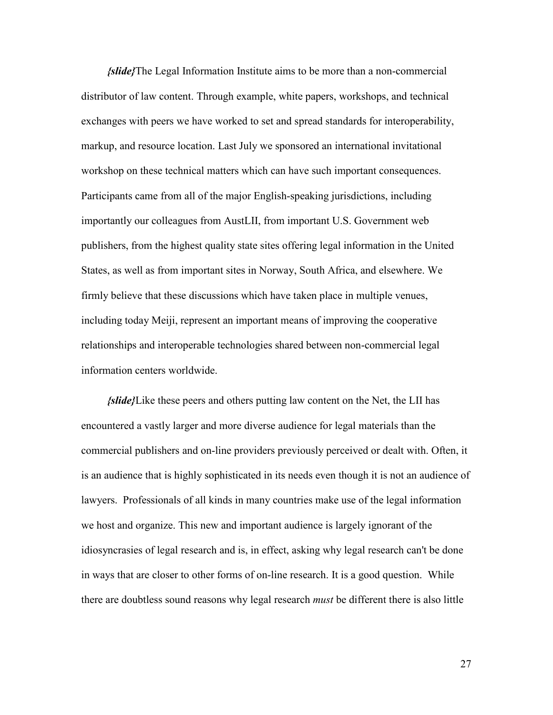*{slide}*The Legal Information Institute aims to be more than a non-commercial distributor of law content. Through example, white papers, workshops, and technical exchanges with peers we have worked to set and spread standards for interoperability, markup, and resource location. Last July we sponsored an international invitational workshop on these technical matters which can have such important consequences. Participants came from all of the major English-speaking jurisdictions, including importantly our colleagues from AustLII, from important U.S. Government web publishers, from the highest quality state sites offering legal information in the United States, as well as from important sites in Norway, South Africa, and elsewhere. We firmly believe that these discussions which have taken place in multiple venues, including today Meiji, represent an important means of improving the cooperative relationships and interoperable technologies shared between non-commercial legal information centers worldwide.

*{slide}*Like these peers and others putting law content on the Net, the LII has encountered a vastly larger and more diverse audience for legal materials than the commercial publishers and on-line providers previously perceived or dealt with. Often, it is an audience that is highly sophisticated in its needs even though it is not an audience of lawyers. Professionals of all kinds in many countries make use of the legal information we host and organize. This new and important audience is largely ignorant of the idiosyncrasies of legal research and is, in effect, asking why legal research can't be done in ways that are closer to other forms of on-line research. It is a good question. While there are doubtless sound reasons why legal research *must* be different there is also little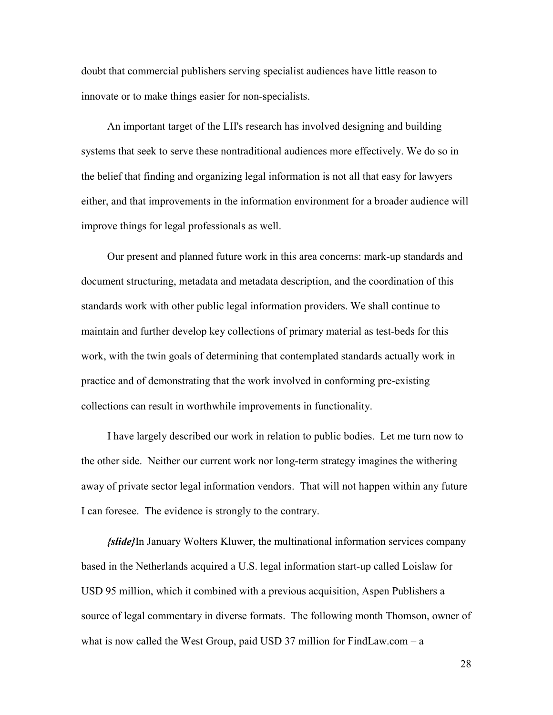doubt that commercial publishers serving specialist audiences have little reason to innovate or to make things easier for non-specialists.

An important target of the LII's research has involved designing and building systems that seek to serve these nontraditional audiences more effectively. We do so in the belief that finding and organizing legal information is not all that easy for lawyers either, and that improvements in the information environment for a broader audience will improve things for legal professionals as well.

Our present and planned future work in this area concerns: mark-up standards and document structuring, metadata and metadata description, and the coordination of this standards work with other public legal information providers. We shall continue to maintain and further develop key collections of primary material as test-beds for this work, with the twin goals of determining that contemplated standards actually work in practice and of demonstrating that the work involved in conforming pre-existing collections can result in worthwhile improvements in functionality.

I have largely described our work in relation to public bodies. Let me turn now to the other side. Neither our current work nor long-term strategy imagines the withering away of private sector legal information vendors. That will not happen within any future I can foresee. The evidence is strongly to the contrary.

*{slide}*In January Wolters Kluwer, the multinational information services company based in the Netherlands acquired a U.S. legal information start-up called Loislaw for USD 95 million, which it combined with a previous acquisition, Aspen Publishers a source of legal commentary in diverse formats. The following month Thomson, owner of what is now called the West Group, paid USD 37 million for FindLaw.com  $-a$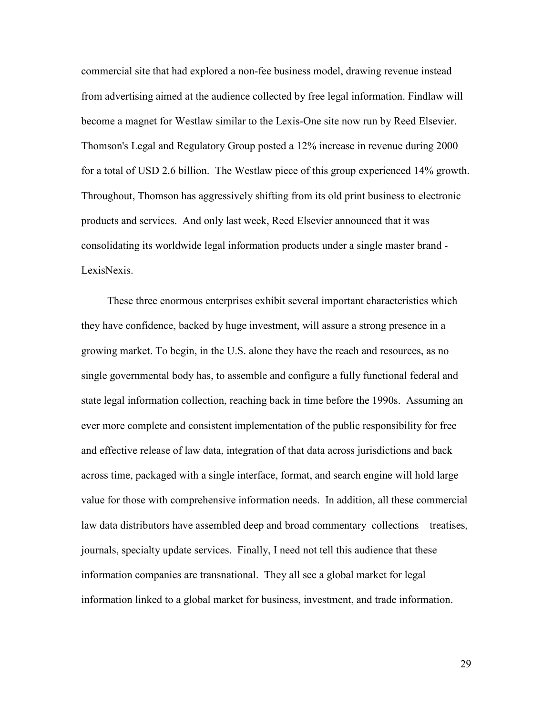commercial site that had explored a non-fee business model, drawing revenue instead from advertising aimed at the audience collected by free legal information. Findlaw will become a magnet for Westlaw similar to the Lexis-One site now run by Reed Elsevier. Thomson's Legal and Regulatory Group posted a 12% increase in revenue during 2000 for a total of USD 2.6 billion. The Westlaw piece of this group experienced 14% growth. Throughout, Thomson has aggressively shifting from its old print business to electronic products and services. And only last week, Reed Elsevier announced that it was consolidating its worldwide legal information products under a single master brand - LexisNexis.

These three enormous enterprises exhibit several important characteristics which they have confidence, backed by huge investment, will assure a strong presence in a growing market. To begin, in the U.S. alone they have the reach and resources, as no single governmental body has, to assemble and configure a fully functional federal and state legal information collection, reaching back in time before the 1990s. Assuming an ever more complete and consistent implementation of the public responsibility for free and effective release of law data, integration of that data across jurisdictions and back across time, packaged with a single interface, format, and search engine will hold large value for those with comprehensive information needs. In addition, all these commercial law data distributors have assembled deep and broad commentary collections – treatises, journals, specialty update services. Finally, I need not tell this audience that these information companies are transnational. They all see a global market for legal information linked to a global market for business, investment, and trade information.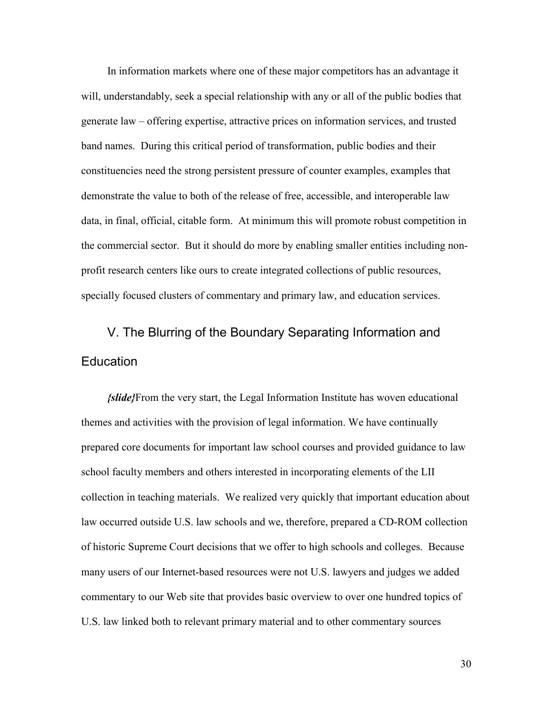In information markets where one of these major competitors has an advantage it will, understandably, seek a special relationship with any or all of the public bodies that generate law – offering expertise, attractive prices on information services, and trusted band names. During this critical period of transformation, public bodies and their constituencies need the strong persistent pressure of counter examples, examples that demonstrate the value to both of the release of free, accessible, and interoperable law data, in final, official, citable form. At minimum this will promote robust competition in the commercial sector. But it should do more by enabling smaller entities including nonprofit research centers like ours to create integrated collections of public resources, specially focused clusters of commentary and primary law, and education services.

## V. The Blurring of the Boundary Separating Information and **Education**

*{slide}*From the very start, the Legal Information Institute has woven educational themes and activities with the provision of legal information. We have continually prepared core documents for important law school courses and provided guidance to law school faculty members and others interested in incorporating elements of the LII collection in teaching materials. We realized very quickly that important education about law occurred outside U.S. law schools and we, therefore, prepared a CD-ROM collection of historic Supreme Court decisions that we offer to high schools and colleges. Because many users of our Internet-based resources were not U.S. lawyers and judges we added commentary to our Web site that provides basic overview to over one hundred topics of U.S. law linked both to relevant primary material and to other commentary sources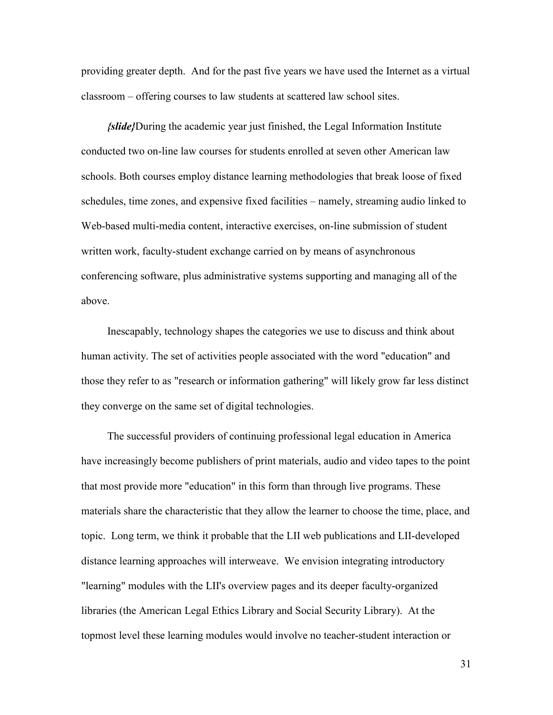providing greater depth. And for the past five years we have used the Internet as a virtual classroom – offering courses to law students at scattered law school sites.

*{slide}*During the academic year just finished, the Legal Information Institute conducted two on-line law courses for students enrolled at seven other American law schools. Both courses employ distance learning methodologies that break loose of fixed schedules, time zones, and expensive fixed facilities – namely, streaming audio linked to Web-based multi-media content, interactive exercises, on-line submission of student written work, faculty-student exchange carried on by means of asynchronous conferencing software, plus administrative systems supporting and managing all of the above.

Inescapably, technology shapes the categories we use to discuss and think about human activity. The set of activities people associated with the word "education" and those they refer to as "research or information gathering" will likely grow far less distinct they converge on the same set of digital technologies.

The successful providers of continuing professional legal education in America have increasingly become publishers of print materials, audio and video tapes to the point that most provide more "education" in this form than through live programs. These materials share the characteristic that they allow the learner to choose the time, place, and topic. Long term, we think it probable that the LII web publications and LII-developed distance learning approaches will interweave. We envision integrating introductory "learning" modules with the LII's overview pages and its deeper faculty-organized libraries (the American Legal Ethics Library and Social Security Library). At the topmost level these learning modules would involve no teacher-student interaction or